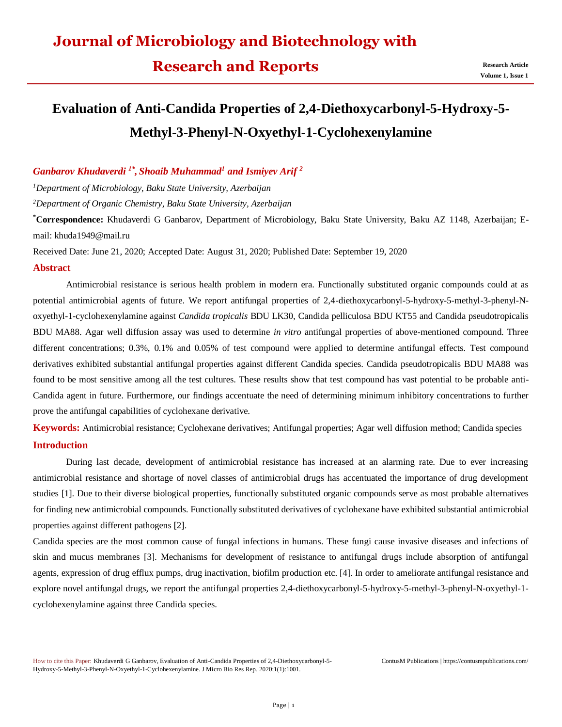## **Research and Reports Research Article**

# **Evaluation of Anti-Candida Properties of 2,4-Diethoxycarbonyl-5-Hydroxy-5- Methyl-3-Phenyl-N-Oxyethyl-1-Cyclohexenylamine**

### *Ganbarov Khudaverdi 1\* , Shoaib Muhammad<sup>1</sup> and Ismiyev Arif <sup>2</sup>*

*<sup>1</sup>Department of Microbiology, Baku State University, Azerbaijan*

*<sup>2</sup>Department of Organic Chemistry, Baku State University, Azerbaijan*

**\*Correspondence:** Khudaverdi G Ganbarov, Department of Microbiology, Baku State University, Baku AZ 1148, Azerbaijan; Email: [khuda1949@mail.ru](mailto:khuda1949@mail.ru)

Received Date: June 21, 2020; Accepted Date: August 31, 2020; Published Date: September 19, 2020

#### **Abstract**

Antimicrobial resistance is serious health problem in modern era. Functionally substituted organic compounds could at as potential antimicrobial agents of future. We report antifungal properties of 2,4-diethoxycarbonyl-5-hydroxy-5-methyl-3-phenyl-Noxyethyl-1-cyclohexenylamine against *Candida tropicalis* BDU LK30, Candida pelliculosa BDU KT55 and Candida pseudotropicalis BDU MA88. Agar well diffusion assay was used to determine *in vitro* antifungal properties of above-mentioned compound. Three different concentrations; 0.3%, 0.1% and 0.05% of test compound were applied to determine antifungal effects. Test compound derivatives exhibited substantial antifungal properties against different Candida species. Candida pseudotropicalis BDU MA88 was found to be most sensitive among all the test cultures. These results show that test compound has vast potential to be probable anti-Candida agent in future. Furthermore, our findings accentuate the need of determining minimum inhibitory concentrations to further prove the antifungal capabilities of cyclohexane derivative.

**Keywords:** Antimicrobial resistance; Cyclohexane derivatives; Antifungal properties; Agar well diffusion method; Candida species **Introduction**

During last decade, development of antimicrobial resistance has increased at an alarming rate. Due to ever increasing antimicrobial resistance and shortage of novel classes of antimicrobial drugs has accentuated the importance of drug development studies [1]. Due to their diverse biological properties, functionally substituted organic compounds serve as most probable alternatives for finding new antimicrobial compounds. Functionally substituted derivatives of cyclohexane have exhibited substantial antimicrobial properties against different pathogens [2].

Candida species are the most common cause of fungal infections in humans. These fungi cause invasive diseases and infections of skin and mucus membranes [3]. Mechanisms for development of resistance to antifungal drugs include absorption of antifungal agents, expression of drug efflux pumps, drug inactivation, biofilm production etc. [4]. In order to ameliorate antifungal resistance and explore novel antifungal drugs, we report the antifungal properties 2,4-diethoxycarbonyl-5-hydroxy-5-methyl-3-phenyl-N-oxyethyl-1 cyclohexenylamine against three Candida species.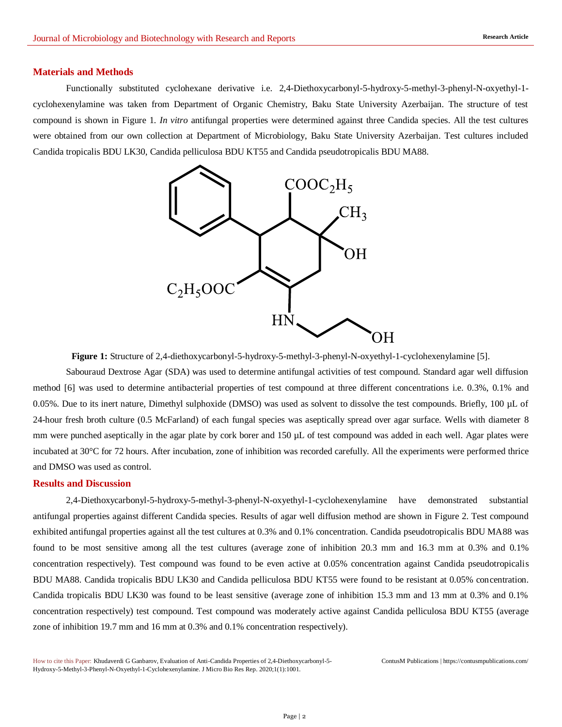#### **Materials and Methods**

Functionally substituted cyclohexane derivative i.e. 2,4-Diethoxycarbonyl-5-hydroxy-5-methyl-3-phenyl-N-oxyethyl-1 cyclohexenylamine was taken from Department of Organic Chemistry, Baku State University Azerbaijan. The structure of test compound is shown in Figure 1. *In vitro* antifungal properties were determined against three Candida species. All the test cultures were obtained from our own collection at Department of Microbiology, Baku State University Azerbaijan. Test cultures included Candida tropicalis BDU LK30, Candida pelliculosa BDU KT55 and Candida pseudotropicalis BDU MA88.



**Figure 1:** Structure of 2,4-diethoxycarbonyl-5-hydroxy-5-methyl-3-phenyl-N-oxyethyl-1-cyclohexenylamine [5].

Sabouraud Dextrose Agar (SDA) was used to determine antifungal activities of test compound. Standard agar well diffusion method [6] was used to determine antibacterial properties of test compound at three different concentrations i.e. 0.3%, 0.1% and 0.05%. Due to its inert nature, Dimethyl sulphoxide (DMSO) was used as solvent to dissolve the test compounds. Briefly, 100 µL of 24-hour fresh broth culture (0.5 McFarland) of each fungal species was aseptically spread over agar surface. Wells with diameter 8 mm were punched aseptically in the agar plate by cork borer and 150 µL of test compound was added in each well. Agar plates were incubated at 30°C for 72 hours. After incubation, zone of inhibition was recorded carefully. All the experiments were performed thrice and DMSO was used as control.

#### **Results and Discussion**

2,4-Diethoxycarbonyl-5-hydroxy-5-methyl-3-phenyl-N-oxyethyl-1-cyclohexenylamine have demonstrated substantial antifungal properties against different Candida species. Results of agar well diffusion method are shown in Figure 2. Test compound exhibited antifungal properties against all the test cultures at 0.3% and 0.1% concentration. Candida pseudotropicalis BDU MA88 was found to be most sensitive among all the test cultures (average zone of inhibition 20.3 mm and 16.3 mm at 0.3% and 0.1% concentration respectively). Test compound was found to be even active at 0.05% concentration against Candida pseudotropicalis BDU MA88. Candida tropicalis BDU LK30 and Candida pelliculosa BDU KT55 were found to be resistant at 0.05% concentration. Candida tropicalis BDU LK30 was found to be least sensitive (average zone of inhibition 15.3 mm and 13 mm at 0.3% and 0.1% concentration respectively) test compound. Test compound was moderately active against Candida pelliculosa BDU KT55 (average zone of inhibition 19.7 mm and 16 mm at 0.3% and 0.1% concentration respectively).

How to cite this Paper: Khudaverdi G Ganbarov, Evaluation of Anti-Candida Properties of 2,4-Diethoxycarbonyl-5- Hydroxy-5-Methyl-3-Phenyl-N-Oxyethyl-1-Cyclohexenylamine. J Micro Bio Res Rep. 2020;1(1):1001.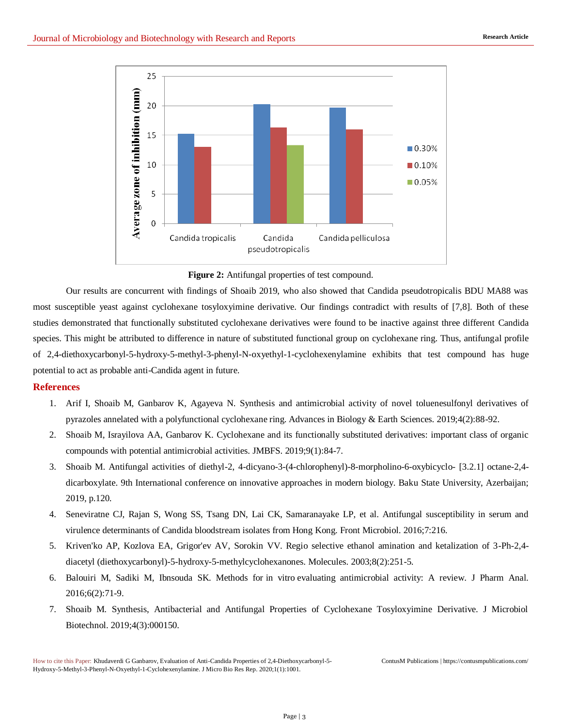

**Figure 2:** Antifungal properties of test compound.

Our results are concurrent with findings of Shoaib 2019, who also showed that Candida pseudotropicalis BDU MA88 was most susceptible yeast against cyclohexane tosyloxyimine derivative. Our findings contradict with results of [7,8]. Both of these studies demonstrated that functionally substituted cyclohexane derivatives were found to be inactive against three different Candida species. This might be attributed to difference in nature of substituted functional group on cyclohexane ring. Thus, antifungal profile of 2,4-diethoxycarbonyl-5-hydroxy-5-methyl-3-phenyl-N-oxyethyl-1-cyclohexenylamine exhibits that test compound has huge potential to act as probable anti-Candida agent in future.

#### **References**

- 1. [Arif I, Shoaib M, Ganbarov K, Agayeva N. Synthesis and antimicrobial activity of novel toluenesulfonyl derivatives of](http://jomardpublishing.com/UploadFiles/Files/journals/ABES/V4N2/Ismiyev%20et%20al.pdf)  [pyrazoles annelated with a polyfunctional cyclohexane ring. Advances in Biology & Earth Sciences. 2019;4\(2\):88-92.](http://jomardpublishing.com/UploadFiles/Files/journals/ABES/V4N2/Ismiyev%20et%20al.pdf)
- 2. [Shoaib M, Israyilova AA, Ganbarov K. Cyclohexane and its functionally substituted derivatives: important class of organic](https://www.researchgate.net/publication/336581097_CYCLOHEXANE_AND_ITS_FUNCTIONALLY_SUBSTITUTED_DERIVATIVES_IMPORTANT_CLASS_OF_ORGANIC_COMPOUNDS_WITH_POTENTIAL_ANTIMICROBIAL_ACTIVITIES)  [compounds with potential antimicrobial activities. JMBFS. 2019;9\(1\):84-7.](https://www.researchgate.net/publication/336581097_CYCLOHEXANE_AND_ITS_FUNCTIONALLY_SUBSTITUTED_DERIVATIVES_IMPORTANT_CLASS_OF_ORGANIC_COMPOUNDS_WITH_POTENTIAL_ANTIMICROBIAL_ACTIVITIES)
- 3. Shoaib M. Antifungal activities of diethyl-2, 4-dicyano-3-(4-chlorophenyl)-8-morpholino-6-oxybicyclo- [3.2.1] octane-2,4 dicarboxylate. 9th International conference on innovative approaches in modern biology. Baku State University, Azerbaijan; 2019, p.120.
- 4. [Seneviratne CJ, Rajan S, Wong SS, Tsang DN, Lai CK, Samaranayake LP, et al. Antifungal susceptibility in serum and](https://pubmed.ncbi.nlm.nih.gov/26955369/)  [virulence determinants of Candida bloodstream isolates from Hong Kong. Front Microbiol. 2016;7:216.](https://pubmed.ncbi.nlm.nih.gov/26955369/)
- 5. [Kriven'ko AP, Kozlova EA, Grigor'ev AV, Sorokin VV. Regio selective ethanol amination and ketalization of 3-Ph-2,4](https://www.ncbi.nlm.nih.gov/pmc/articles/PMC6146885/) [diacetyl \(diethoxycarbonyl\)-5-hydroxy-5-methylcyclohexanones. Molecules. 2003;8\(2\):251-5.](https://www.ncbi.nlm.nih.gov/pmc/articles/PMC6146885/)
- 6. Balouiri M, Sadiki M, Ibnsouda SK. Methods for in vitro [evaluating antimicrobial activity: A review. J Pharm Anal.](https://pubmed.ncbi.nlm.nih.gov/29403965/)  [2016;6\(2\):71-9.](https://pubmed.ncbi.nlm.nih.gov/29403965/)
- 7. [Shoaib M. Synthesis, Antibacterial and Antifungal Properties of Cyclohexane Tosyloxyimine Derivative. J Microbiol](https://medwinpublishers.com/OAJMB/OAJMB16000150.pdf)  [Biotechnol. 2019;4\(3\):000150.](https://medwinpublishers.com/OAJMB/OAJMB16000150.pdf)